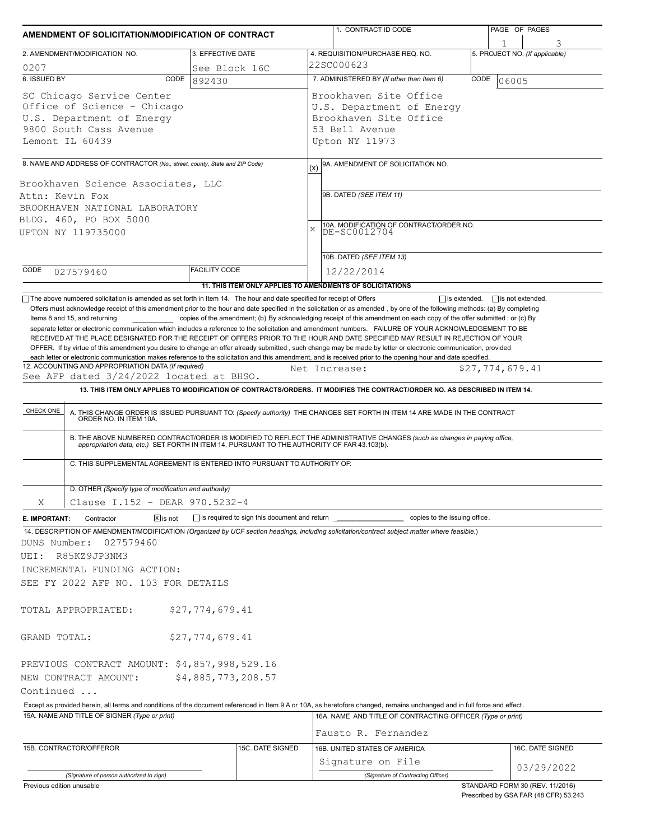| AMENDMENT OF SOLICITATION/MODIFICATION OF CONTRACT |                                                                                                                      |                                              | 1. CONTRACT ID CODE                                                                                                                                                                                                                                                                                                                              | PAGE OF PAGES                  |  |  |  |
|----------------------------------------------------|----------------------------------------------------------------------------------------------------------------------|----------------------------------------------|--------------------------------------------------------------------------------------------------------------------------------------------------------------------------------------------------------------------------------------------------------------------------------------------------------------------------------------------------|--------------------------------|--|--|--|
|                                                    | 2. AMENDMENT/MODIFICATION NO.                                                                                        | 3. EFFECTIVE DATE                            | 4. REQUISITION/PURCHASE REQ. NO.                                                                                                                                                                                                                                                                                                                 | 5. PROJECT NO. (If applicable) |  |  |  |
| 0207                                               |                                                                                                                      | See Block 16C                                | 22SC000623                                                                                                                                                                                                                                                                                                                                       |                                |  |  |  |
| 6. ISSUED BY                                       | CODE                                                                                                                 | 892430                                       | 7. ADMINISTERED BY (If other than Item 6)<br>CODE<br>06005                                                                                                                                                                                                                                                                                       |                                |  |  |  |
| Lemont IL 60439                                    | SC Chicago Service Center<br>Office of Science - Chicago<br>U.S. Department of Energy<br>9800 South Cass Avenue      |                                              | Brookhaven Site Office<br>U.S. Department of Energy<br>Brookhaven Site Office<br>53 Bell Avenue<br>Upton NY 11973                                                                                                                                                                                                                                |                                |  |  |  |
|                                                    | 8. NAME AND ADDRESS OF CONTRACTOR (No., street, county, State and ZIP Code)                                          |                                              | 9A. AMENDMENT OF SOLICITATION NO.                                                                                                                                                                                                                                                                                                                |                                |  |  |  |
| Attn: Kevin Fox                                    | Brookhaven Science Associates, LLC<br>BROOKHAVEN NATIONAL LABORATORY<br>BLDG. 460, PO BOX 5000<br>UPTON NY 119735000 |                                              | (x)<br>9B. DATED (SEE ITEM 11)<br>10A. MODIFICATION OF CONTRACT/ORDER NO.<br>DE-SC0012704<br>X<br>10B. DATED (SEE ITEM 13)                                                                                                                                                                                                                       |                                |  |  |  |
|                                                    |                                                                                                                      | <b>FACILITY CODE</b>                         |                                                                                                                                                                                                                                                                                                                                                  |                                |  |  |  |
| CODE                                               | 027579460                                                                                                            |                                              | 12/22/2014<br>11. THIS ITEM ONLY APPLIES TO AMENDMENTS OF SOLICITATIONS                                                                                                                                                                                                                                                                          |                                |  |  |  |
|                                                    | 12. ACCOUNTING AND APPROPRIATION DATA (If required)                                                                  |                                              | OFFER. If by virtue of this amendment you desire to change an offer already submitted, such change may be made by letter or electronic communication, provided<br>each letter or electronic communication makes reference to the solicitation and this amendment, and is received prior to the opening hour and date specified.<br>Net Increase: | \$27,774,679.41                |  |  |  |
| CHECK ONE                                          | See AFP dated 3/24/2022 located at BHSO.                                                                             |                                              | 13. THIS ITEM ONLY APPLIES TO MODIFICATION OF CONTRACTS/ORDERS. IT MODIFIES THE CONTRACT/ORDER NO. AS DESCRIBED IN ITEM 14.<br>A. THIS CHANGE ORDER IS ISSUED PURSUANT TO: (Specify authority) THE CHANGES SET FORTH IN ITEM 14 ARE MADE IN THE CONTRACT ORDER NO. IN ITEM 10A.                                                                  |                                |  |  |  |
|                                                    | C. THIS SUPPLEMENTAL AGREEMENT IS ENTERED INTO PURSUANT TO AUTHORITY OF:                                             |                                              | B. THE ABOVE NUMBERED CONTRACT/ORDER IS MODIFIED TO REFLECT THE ADMINISTRATIVE CHANGES (such as changes in paying office,<br>appropriation data, etc.) SET FORTH IN ITEM 14, PURSUANT TO THE AUTHORITY OF FAR 43.103(b).                                                                                                                         |                                |  |  |  |
| Χ                                                  | D. OTHER (Specify type of modification and authority)<br>Clause I.152 - DEAR 970.5232-4                              |                                              |                                                                                                                                                                                                                                                                                                                                                  |                                |  |  |  |
| E. IMPORTANT:                                      | $X$ is not<br>Contractor                                                                                             | is required to sign this document and return | copies to the issuing office.                                                                                                                                                                                                                                                                                                                    |                                |  |  |  |
|                                                    | 027579460<br>R85KZ9JP3NM3<br>INCREMENTAL FUNDING ACTION:<br>SEE FY 2022 AFP NO. 103 FOR DETAILS                      |                                              | 14. DESCRIPTION OF AMENDMENT/MODIFICATION (Organized by UCF section headings, including solicitation/contract subject matter where feasible.)                                                                                                                                                                                                    |                                |  |  |  |
|                                                    | TOTAL APPROPRIATED:                                                                                                  | \$27,774,679.41                              |                                                                                                                                                                                                                                                                                                                                                  |                                |  |  |  |
|                                                    |                                                                                                                      | \$27,774,679.41                              |                                                                                                                                                                                                                                                                                                                                                  |                                |  |  |  |
|                                                    | PREVIOUS CONTRACT AMOUNT: \$4,857,998,529.16<br>NEW CONTRACT AMOUNT:                                                 | \$4,885,773,208.57                           |                                                                                                                                                                                                                                                                                                                                                  |                                |  |  |  |
|                                                    |                                                                                                                      |                                              | Except as provided herein, all terms and conditions of the document referenced in Item 9 A or 10A, as heretofore changed, remains unchanged and in full force and effect.                                                                                                                                                                        |                                |  |  |  |
| DUNS Number:<br>UEI:<br>GRAND TOTAL:<br>Continued  | 15A. NAME AND TITLE OF SIGNER (Type or print)                                                                        |                                              | 16A. NAME AND TITLE OF CONTRACTING OFFICER (Type or print)<br>Fausto R. Fernandez                                                                                                                                                                                                                                                                |                                |  |  |  |
|                                                    |                                                                                                                      |                                              |                                                                                                                                                                                                                                                                                                                                                  |                                |  |  |  |
| 15B. CONTRACTOR/OFFEROR                            |                                                                                                                      | 15C. DATE SIGNED                             | 16B. UNITED STATES OF AMERICA                                                                                                                                                                                                                                                                                                                    | 16C. DATE SIGNED               |  |  |  |
|                                                    | (Signature of person authorized to sign)                                                                             |                                              | Signature on File<br>(Signature of Contracting Officer)                                                                                                                                                                                                                                                                                          | 03/29/2022                     |  |  |  |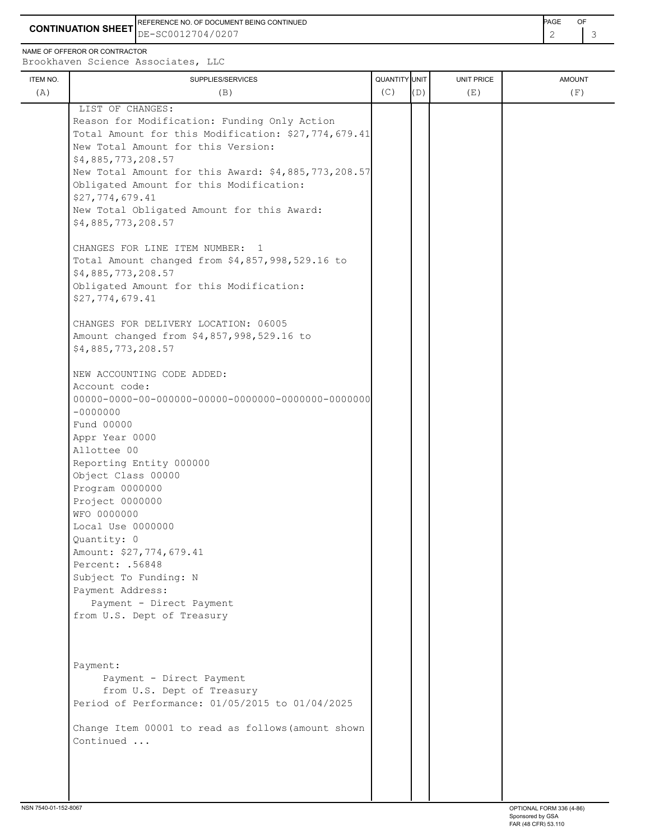**CONTINUATION SHEET** DE-SC0012704/0207 REFERENCE NO. OF DOCUMENT BEING CONTINUED **EXAMPLE 2008** PAGE OF

NAME OF OFFEROR OR CONTRACTOR

Brookhaven Science Associates, LLC

| <b>ITEM NO.</b><br>(A) | SUPPLIES/SERVICES<br>(B)                            | QUANTITY UNIT<br>(C) | (D) | <b>UNIT PRICE</b><br>(E) | <b>AMOUNT</b><br>(F) |
|------------------------|-----------------------------------------------------|----------------------|-----|--------------------------|----------------------|
|                        | LIST OF CHANGES:                                    |                      |     |                          |                      |
|                        | Reason for Modification: Funding Only Action        |                      |     |                          |                      |
|                        | Total Amount for this Modification: \$27,774,679.41 |                      |     |                          |                      |
|                        | New Total Amount for this Version:                  |                      |     |                          |                      |
|                        | \$4,885,773,208.57                                  |                      |     |                          |                      |
|                        | New Total Amount for this Award: \$4,885,773,208.57 |                      |     |                          |                      |
|                        | Obligated Amount for this Modification:             |                      |     |                          |                      |
|                        | \$27,774,679.41                                     |                      |     |                          |                      |
|                        | New Total Obligated Amount for this Award:          |                      |     |                          |                      |
|                        | \$4,885,773,208.57                                  |                      |     |                          |                      |
|                        | CHANGES FOR LINE ITEM NUMBER:<br>$\mathbf{1}$       |                      |     |                          |                      |
|                        | Total Amount changed from \$4,857,998,529.16 to     |                      |     |                          |                      |
|                        | \$4,885,773,208.57                                  |                      |     |                          |                      |
|                        | Obligated Amount for this Modification:             |                      |     |                          |                      |
|                        | \$27,774,679.41                                     |                      |     |                          |                      |
|                        | CHANGES FOR DELIVERY LOCATION: 06005                |                      |     |                          |                      |
|                        | Amount changed from \$4,857,998,529.16 to           |                      |     |                          |                      |
|                        | \$4,885,773,208.57                                  |                      |     |                          |                      |
|                        | NEW ACCOUNTING CODE ADDED:                          |                      |     |                          |                      |
|                        | Account code:                                       |                      |     |                          |                      |
|                        |                                                     |                      |     |                          |                      |
|                        | $-00000000$                                         |                      |     |                          |                      |
|                        | Fund 00000                                          |                      |     |                          |                      |
|                        | Appr Year 0000                                      |                      |     |                          |                      |
|                        | Allottee 00                                         |                      |     |                          |                      |
|                        | Reporting Entity 000000                             |                      |     |                          |                      |
|                        | Object Class 00000                                  |                      |     |                          |                      |
|                        | Program 0000000                                     |                      |     |                          |                      |
|                        | Project 0000000                                     |                      |     |                          |                      |
|                        | WFO 0000000                                         |                      |     |                          |                      |
|                        | Local Use 0000000                                   |                      |     |                          |                      |
|                        | Quantity: 0<br>Amount: \$27,774,679.41              |                      |     |                          |                      |
|                        | Percent: .56848                                     |                      |     |                          |                      |
|                        | Subject To Funding: N                               |                      |     |                          |                      |
|                        | Payment Address:                                    |                      |     |                          |                      |
|                        | Payment - Direct Payment                            |                      |     |                          |                      |
|                        | from U.S. Dept of Treasury                          |                      |     |                          |                      |
|                        |                                                     |                      |     |                          |                      |
|                        |                                                     |                      |     |                          |                      |
|                        | Payment:                                            |                      |     |                          |                      |
|                        | Payment - Direct Payment                            |                      |     |                          |                      |
|                        | from U.S. Dept of Treasury                          |                      |     |                          |                      |
|                        | Period of Performance: 01/05/2015 to 01/04/2025     |                      |     |                          |                      |
|                        | Change Item 00001 to read as follows (amount shown  |                      |     |                          |                      |
|                        | Continued                                           |                      |     |                          |                      |
|                        |                                                     |                      |     |                          |                      |
|                        |                                                     |                      |     |                          |                      |
|                        |                                                     |                      |     |                          |                      |